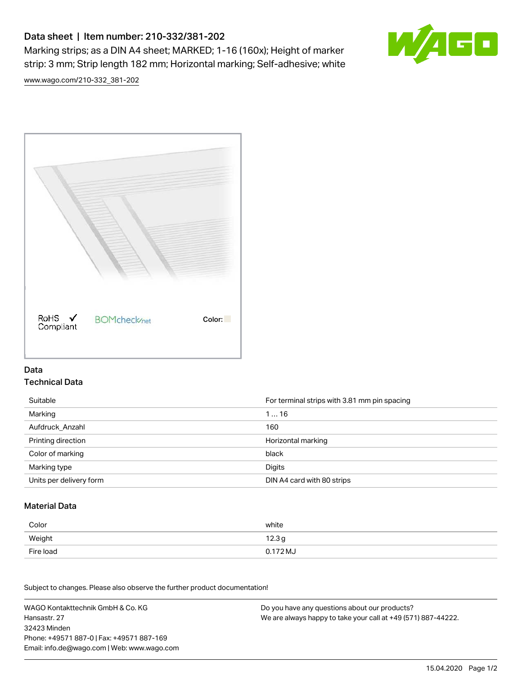# Data sheet | Item number: 210-332/381-202

Marking strips; as a DIN A4 sheet; MARKED; 1-16 (160x); Height of marker strip: 3 mm; Strip length 182 mm; Horizontal marking; Self-adhesive; white



[www.wago.com/210-332\\_381-202](http://www.wago.com/210-332_381-202)



### Data Technical Data

| Suitable                | For terminal strips with 3.81 mm pin spacing |
|-------------------------|----------------------------------------------|
| Marking                 | 116                                          |
| Aufdruck Anzahl         | 160                                          |
| Printing direction      | Horizontal marking                           |
| Color of marking        | black                                        |
| Marking type            | Digits                                       |
| Units per delivery form | DIN A4 card with 80 strips                   |

#### Material Data

| Color     | white                       |
|-----------|-----------------------------|
| Weight    | 12.3 <sub>g</sub>           |
| Fire load | $0.172\,\mathrm{M}_{\odot}$ |

Subject to changes. Please also observe the further product documentation!

WAGO Kontakttechnik GmbH & Co. KG Hansastr. 27 32423 Minden Phone: +49571 887-0 | Fax: +49571 887-169 Email: info.de@wago.com | Web: www.wago.com Do you have any questions about our products? We are always happy to take your call at +49 (571) 887-44222.